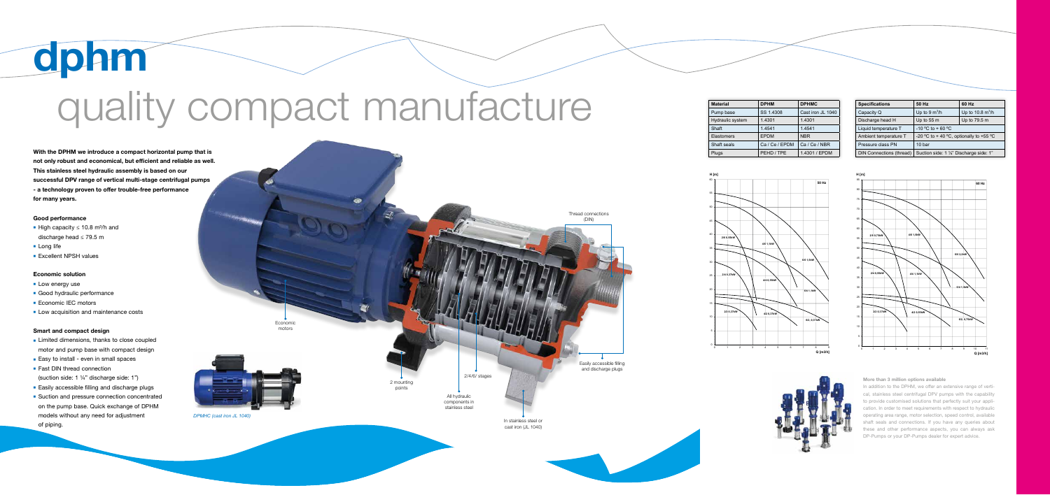#### Good performance

- High capacity  $≤ 10.8$  m<sup>3</sup>/h and discharge head ≤ 79.5 m
- **Long life**
- **Excellent NPSH values**

#### Economic solution

- **Low energy use**
- **Good hydraulic performance**
- **Economic IEC motors**
- **Low acquisition and maintenance costs**

#### Smart and compact design

- **Example 2** Limited dimensions, thanks to close coupled motor and pump base with compact design
- Easy to install even in small spaces
- **Fast DIN thread connection** (suction side: 1 ¼" discharge side: 1")
- **Easily accessible filling and discharge plugs**
- **Example 3** Suction and pressure connection concentrated on the pump base. Quick exchange of DPHM models without any need for adjustment of piping.

# dphm **guality compact manufacture**

| <b>Material</b>   | <b>DPHM</b>    | <b>DPHMC</b>      |
|-------------------|----------------|-------------------|
| Pump base         | SS 1.4308      | Cast iron JL 1040 |
| Hydraulic system  | 1.4301         | 1.4301            |
| Shaft             | 1.4541         | 1.4541            |
| <b>Elastomers</b> | <b>EPDM</b>    | <b>NBR</b>        |
| Shaft seals       | Ca / Ce / EPDM | Ca / Ce / NBR     |
| Plugs             | PEHD / TPE     | 1.4301 / EPDM     |

In addition to the DPHM, we offer an extensive range of vertical, stainless steel centrifugal DPV pumps with the capability to provide customised solutions that perfectly suit your application. In order to meet requirements with respect to hydraulic operating area range, motor selection, speed control, available shaft seals and connections. If you have any queries about these and other performance aspects, you can always ask DP-Pumps or your DP-Pumps dealer for expert advice.

| <b>Specifications</b>    | 50 Hz                                   | 60 Hz                          |
|--------------------------|-----------------------------------------|--------------------------------|
| Capacity Q               | Up to $9 \text{ m}^3/h$                 | Up to $10.8$ m <sup>3</sup> /h |
| Discharge head H         | Up to $55 \text{ m}$                    | Up to 79.5 m                   |
| Liquid temperature T     | $-10$ °C to + 60 °C                     |                                |
| Ambient temperature T    | -20 °C to + 40 °C, optionally to +55 °C |                                |
| Pressure class PN        | 10 bar                                  |                                |
| DIN Connections (thread) | Suction side: 1 1/4" Discharge side: 1" |                                |

#### More than 3 million options available





cast iron (JL 1040)



With the DPHM we introduce a compact horizontal pump that is not only robust and economical, but efficient and reliable as well. This stainless steel hydraulic assembly is based on our successful DPV range of vertical multi-stage centrifugal pumps - a technology proven to offer trouble-free performance for many years.